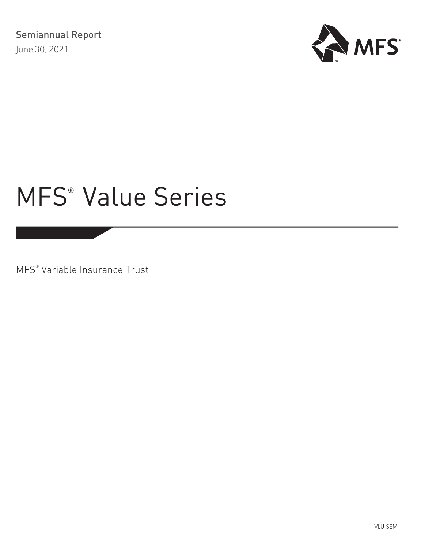

MFS® Variable Insurance Trust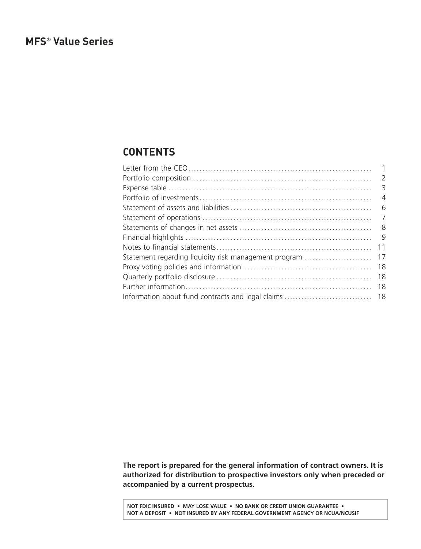# <span id="page-1-0"></span>**CONTENTS**

|                                                       | $\overline{2}$ |
|-------------------------------------------------------|----------------|
|                                                       |                |
|                                                       | $\overline{4}$ |
|                                                       | - 6            |
|                                                       | $\overline{7}$ |
|                                                       | - 8            |
|                                                       | - 9            |
|                                                       | 11             |
| Statement regarding liquidity risk management program | 17             |
|                                                       | 18             |
|                                                       | 18             |
|                                                       | 18             |
|                                                       |                |
|                                                       |                |

**The report is prepared for the general information of contract owners. It is authorized for distribution to prospective investors only when preceded or accompanied by a current prospectus.**

**NOT FDIC INSURED • MAY LOSE VALUE • NO BANK OR CREDIT UNION GUARANTEE • NOT A DEPOSIT • NOT INSURED BY ANY FEDERAL GOVERNMENT AGENCY OR NCUA/NCUSIF**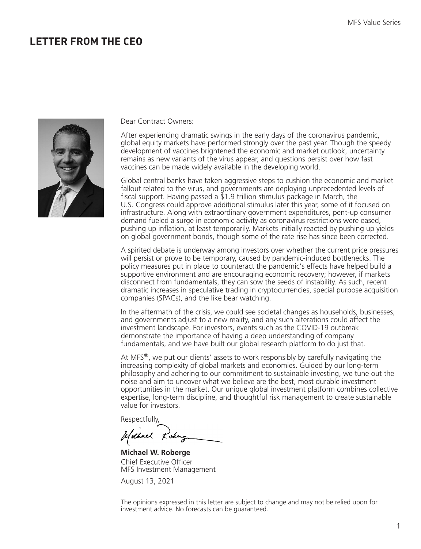# <span id="page-2-0"></span>**LETTER FROM THE CEO**



Dear Contract Owners:

After experiencing dramatic swings in the early days of the coronavirus pandemic, global equity markets have performed strongly over the past year. Though the speedy development of vaccines brightened the economic and market outlook, uncertainty remains as new variants of the virus appear, and questions persist over how fast vaccines can be made widely available in the developing world.

Global central banks have taken aggressive steps to cushion the economic and market fallout related to the virus, and governments are deploying unprecedented levels of fiscal support. Having passed a  $\overline{2}1.9$  trillion stimulus package in March, the U.S. Congress could approve additional stimulus later this year, some of it focused on infrastructure. Along with extraordinary government expenditures, pent-up consumer demand fueled a surge in economic activity as coronavirus restrictions were eased, pushing up inflation, at least temporarily. Markets initially reacted by pushing up yields on global government bonds, though some of the rate rise has since been corrected.

A spirited debate is underway among investors over whether the current price pressures will persist or prove to be temporary, caused by pandemic-induced bottlenecks. The policy measures put in place to counteract the pandemic's effects have helped build a supportive environment and are encouraging economic recovery; however, if markets disconnect from fundamentals, they can sow the seeds of instability. As such, recent dramatic increases in speculative trading in cryptocurrencies, special purpose acquisition companies (SPACs), and the like bear watching.

In the aftermath of the crisis, we could see societal changes as households, businesses, and governments adjust to a new reality, and any such alterations could affect the investment landscape. For investors, events such as the COVID-19 outbreak demonstrate the importance of having a deep understanding of company fundamentals, and we have built our global research platform to do just that.

At MFS $^{\circ}$ , we put our clients' assets to work responsibly by carefully navigating the increasing complexity of global markets and economies. Guided by our long-term philosophy and adhering to our commitment to sustainable investing, we tune out the noise and aim to uncover what we believe are the best, most durable investment opportunities in the market. Our unique global investment platform combines collective expertise, long-term discipline, and thoughtful risk management to create sustainable value for investors.

Respectfully,

Usebuel Losing

**Michael W. Roberge** Chief Executive Officer MFS Investment Management

August 13, 2021

The opinions expressed in this letter are subject to change and may not be relied upon for investment advice. No forecasts can be guaranteed.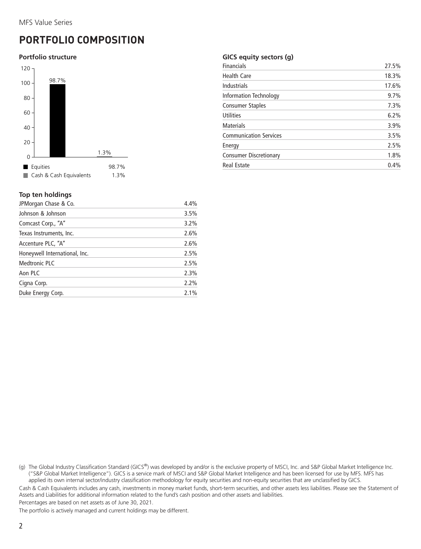# <span id="page-3-0"></span>**PORTFOLIO COMPOSITION**

#### **Portfolio structure**



## **Top ten holdings**

| JPMorgan Chase & Co.          | 4.4% |
|-------------------------------|------|
| Johnson & Johnson             | 3.5% |
| Comcast Corp., "A"            | 3.2% |
| Texas Instruments, Inc.       | 2.6% |
| Accenture PLC, "A"            | 2.6% |
| Honeywell International, Inc. | 2.5% |
| <b>Medtronic PLC</b>          | 2.5% |
| Aon PLC                       | 2.3% |
| Cigna Corp.                   | 2.2% |
| Duke Energy Corp.             | 2.1% |
|                               |      |

## **GICS equity sectors (g)**

| <b>Financials</b>             | 27.5% |
|-------------------------------|-------|
| <b>Health Care</b>            | 18.3% |
| <b>Industrials</b>            | 17.6% |
| Information Technology        | 9.7%  |
| <b>Consumer Staples</b>       | 7.3%  |
| <b>Utilities</b>              | 6.2%  |
| <b>Materials</b>              | 3.9%  |
| <b>Communication Services</b> | 3.5%  |
| Energy                        | 2.5%  |
| <b>Consumer Discretionary</b> | 1.8%  |
| <b>Real Estate</b>            | 0.4%  |

(g) The Global Industry Classification Standard (GICS®) was developed by and/or is the exclusive property of MSCI, Inc. and S&P Global Market Intelligence Inc. ("S&P Global Market Intelligence"). GICS is a service mark of MSCI and S&P Global Market Intelligence and has been licensed for use by MFS. MFS has applied its own internal sector/industry classification methodology for equity securities and non-equity securities that are unclassified by GICS.

Cash & Cash Equivalents includes any cash, investments in money market funds, short-term securities, and other assets less liabilities. Please see the Statement of Assets and Liabilities for additional information related to the fund's cash position and other assets and liabilities.

Percentages are based on net assets as of June 30, 2021.

The portfolio is actively managed and current holdings may be different.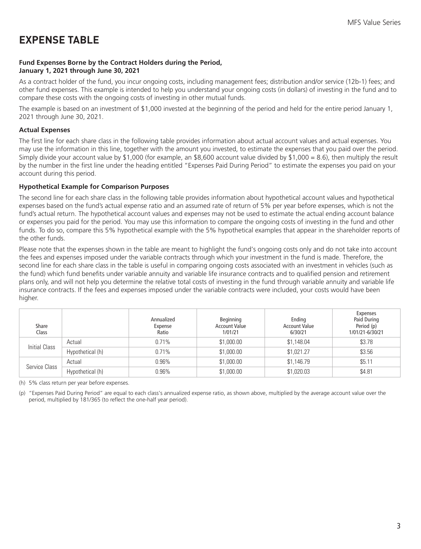# <span id="page-4-0"></span>**EXPENSE TABLE**

## **Fund Expenses Borne by the Contract Holders during the Period, January 1, 2021 through June 30, 2021**

As a contract holder of the fund, you incur ongoing costs, including management fees; distribution and/or service (12b-1) fees; and other fund expenses. This example is intended to help you understand your ongoing costs (in dollars) of investing in the fund and to compare these costs with the ongoing costs of investing in other mutual funds.

The example is based on an investment of \$1,000 invested at the beginning of the period and held for the entire period January 1, 2021 through June 30, 2021.

## **Actual Expenses**

The first line for each share class in the following table provides information about actual account values and actual expenses. You may use the information in this line, together with the amount you invested, to estimate the expenses that you paid over the period. Simply divide your account value by \$1,000 (for example, an \$8,600 account value divided by \$1,000 = 8.6), then multiply the result by the number in the first line under the heading entitled "Expenses Paid During Period" to estimate the expenses you paid on your account during this period.

## **Hypothetical Example for Comparison Purposes**

The second line for each share class in the following table provides information about hypothetical account values and hypothetical expenses based on the fund's actual expense ratio and an assumed rate of return of 5% per year before expenses, which is not the fund's actual return. The hypothetical account values and expenses may not be used to estimate the actual ending account balance or expenses you paid for the period. You may use this information to compare the ongoing costs of investing in the fund and other funds. To do so, compare this 5% hypothetical example with the 5% hypothetical examples that appear in the shareholder reports of the other funds.

Please note that the expenses shown in the table are meant to highlight the fund's ongoing costs only and do not take into account the fees and expenses imposed under the variable contracts through which your investment in the fund is made. Therefore, the second line for each share class in the table is useful in comparing ongoing costs associated with an investment in vehicles (such as the fund) which fund benefits under variable annuity and variable life insurance contracts and to qualified pension and retirement plans only, and will not help you determine the relative total costs of investing in the fund through variable annuity and variable life insurance contracts. If the fees and expenses imposed under the variable contracts were included, your costs would have been higher.

| Share<br>Class |                  | Annualized<br>Expense<br>Ratio | Beginning<br><b>Account Value</b><br>1/01/21 | Ending<br><b>Account Value</b><br>6/30/21 | Expenses<br>Paid During<br>Period (p)<br>1/01/21-6/30/21 |
|----------------|------------------|--------------------------------|----------------------------------------------|-------------------------------------------|----------------------------------------------------------|
| Initial Class  | Actual           | 0.71%                          | \$1,000.00                                   | \$1,148.04                                | \$3.78                                                   |
|                | Hypothetical (h) | 0.71%                          | \$1,000.00                                   | \$1,021.27                                | \$3.56                                                   |
| Service Class  | Actual           | $0.96\%$                       | \$1,000.00                                   | \$1,146.79                                | \$5.11                                                   |
|                | Hypothetical (h) | $0.96\%$                       | \$1,000.00                                   | \$1,020.03                                | \$4.81                                                   |

(h) 5% class return per year before expenses.

(p) "Expenses Paid During Period" are equal to each class's annualized expense ratio, as shown above, multiplied by the average account value over the period, multiplied by 181/365 (to reflect the one-half year period).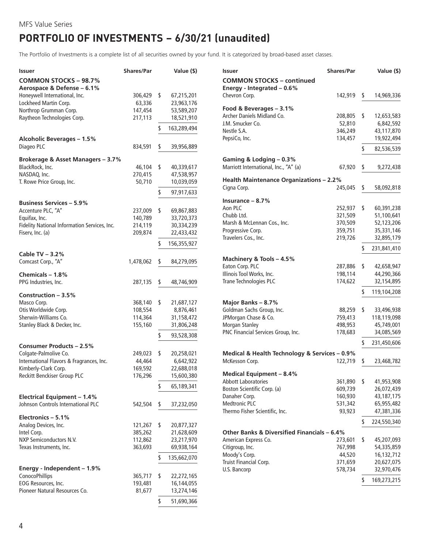# <span id="page-5-0"></span>**PORTFOLIO OF INVESTMENTS − 6/30/21 (unaudited)**

The Portfolio of Investments is a complete list of all securities owned by your fund. It is categorized by broad-based asset classes.

| Issuer                                                                   | <b>Shares/Par</b>  | Value (\$)               |
|--------------------------------------------------------------------------|--------------------|--------------------------|
| <b>COMMON STOCKS - 98.7%</b>                                             |                    |                          |
| Aerospace & Defense - 6.1%                                               |                    |                          |
| Honeywell International, Inc.                                            | 306,429            | \$<br>67,215,201         |
| Lockheed Martin Corp.                                                    | 63,336             | 23,963,176               |
| Northrop Grumman Corp.<br>Raytheon Technologies Corp.                    | 147,454<br>217,113 | 53,589,207<br>18,521,910 |
|                                                                          |                    |                          |
|                                                                          |                    | \$<br>163,289,494        |
| <b>Alcoholic Beverages - 1.5%</b>                                        |                    |                          |
| Diageo PLC                                                               | 834,591            | \$<br>39,956,889         |
| Brokerage & Asset Managers - 3.7%                                        |                    |                          |
| BlackRock, Inc.                                                          | 46,104             | \$<br>40,339,617         |
| NASDAQ, Inc.                                                             | 270,415            | 47,538,957               |
| T. Rowe Price Group, Inc.                                                | 50,710             | 10,039,059               |
|                                                                          |                    | \$<br>97,917,633         |
| <b>Business Services - 5.9%</b>                                          |                    |                          |
| Accenture PLC, "A"                                                       | 237,009            | \$<br>69,867,883         |
| Equifax, Inc.                                                            | 140,789            | 33,720,373               |
| Fidelity National Information Services, Inc.                             | 214,119            | 30,334,239               |
| Fiserv, Inc. (a)                                                         | 209,874            | 22,433,432               |
|                                                                          |                    | \$<br>156,355,927        |
|                                                                          |                    |                          |
| Cable TV - 3.2%<br>Comcast Corp., "A"                                    |                    |                          |
|                                                                          | 1,478,062          | \$<br>84,279,095         |
| Chemicals - 1.8%                                                         |                    |                          |
| PPG Industries, Inc.                                                     | 287,135            | \$<br>48,746,909         |
| Construction - 3.5%                                                      |                    |                          |
| Masco Corp.                                                              | 368,140            | \$<br>21,687,127         |
| Otis Worldwide Corp.                                                     | 108,554            | 8,876,461                |
| Sherwin-Williams Co.                                                     | 114,364            | 31,158,472               |
| Stanley Black & Decker, Inc.                                             | 155,160            | 31,806,248               |
|                                                                          |                    | \$<br>93,528,308         |
| Consumer Products - 2.5%                                                 |                    |                          |
| Colgate-Palmolive Co.                                                    | 249,023            | \$<br>20,258,021         |
| International Flavors & Fragrances, Inc.                                 | 44,464             | 6,642,922                |
| Kimberly-Clark Corp.                                                     | 169,592            | 22,688,018               |
| Reckitt Benckiser Group PLC                                              | 176,296            | 15,600,380               |
|                                                                          |                    | \$<br>65,189,341         |
|                                                                          |                    |                          |
| <b>Electrical Equipment - 1.4%</b><br>Johnson Controls International PLC | 542,504            | \$<br>37,232,050         |
|                                                                          |                    |                          |
| Electronics - 5.1%                                                       |                    |                          |
| Analog Devices, Inc.                                                     | 121,267            | \$<br>20,877,327         |
| Intel Corp.                                                              | 385,262            | 21,628,609               |
| <b>NXP Semiconductors N.V.</b>                                           | 112,862            | 23,217,970               |
| Texas Instruments, Inc.                                                  | 363,693            | 69,938,164               |
|                                                                          |                    | \$<br>135,662,070        |
| Energy - Independent - 1.9%                                              |                    |                          |
| <b>ConocoPhillips</b>                                                    | 365,717            | \$<br>22,272,165         |
| EOG Resources, Inc.                                                      | 193,481            | 16,144,055               |
| Pioneer Natural Resources Co.                                            | 81,677             | 13,274,146               |
|                                                                          |                    | \$<br>51,690,366         |

| Issuer                                                           | <b>Shares/Par</b> |     | Value (\$)  |
|------------------------------------------------------------------|-------------------|-----|-------------|
| <b>COMMON STOCKS - continued</b><br>Energy - Integrated $-0.6\%$ |                   |     |             |
| Chevron Corp.                                                    | 142,919           | \$. | 14,969,336  |
| Food & Beverages - 3.1%                                          |                   |     |             |
| Archer Daniels Midland Co.                                       | 208,805           | \$  | 12,653,583  |
| J.M. Smucker Co.                                                 | 52,810            |     | 6,842,592   |
| Nestle S.A.                                                      | 346,249           |     | 43,117,870  |
| PepsiCo, Inc.                                                    | 134,457           |     | 19,922,494  |
|                                                                  |                   | \$  | 82,536,539  |
| Gaming & Lodging - 0.3%                                          |                   |     |             |
| Marriott International, Inc., "A" (a)                            | 67,920            | \$  | 9,272,438   |
| <b>Health Maintenance Organizations - 2.2%</b>                   |                   |     |             |
| Cigna Corp.                                                      | 245,045           | \$  | 58,092,818  |
| Insurance $-8.7%$                                                |                   |     |             |
| Aon PLC                                                          | 252,937           | \$  | 60,391,238  |
| Chubb Ltd.                                                       | 321,509           |     | 51,100,641  |
| Marsh & McLennan Cos., Inc.                                      | 370,509           |     | 52,123,206  |
| Progressive Corp.                                                | 359,751           |     | 35,331,146  |
| Travelers Cos., Inc.                                             | 219,726           |     | 32,895,179  |
|                                                                  |                   | \$  | 231,841,410 |
| Machinery & Tools - 4.5%                                         |                   |     |             |
| Eaton Corp. PLC                                                  | 287,886           | \$  | 42,658,947  |
| Illinois Tool Works, Inc.                                        | 198,114           |     | 44,290,366  |
| Trane Technologies PLC                                           | 174,622           |     | 32,154,895  |
|                                                                  |                   | \$  | 119,104,208 |
| Major Banks - 8.7%                                               |                   |     |             |
| Goldman Sachs Group, Inc.                                        | 88,259            | \$  | 33,496,938  |
| JPMorgan Chase & Co.                                             | 759,413           |     | 118,119,098 |
| <b>Morgan Stanley</b>                                            | 498,953           |     | 45,749,001  |
| PNC Financial Services Group, Inc.                               | 178,683           |     | 34,085,569  |
|                                                                  |                   | \$  | 231,450,606 |
| Medical & Health Technology & Services - 0.9%                    |                   |     |             |
| McKesson Corp.                                                   | 122,719           | \$  | 23,468,782  |
| <b>Medical Equipment - 8.4%</b>                                  |                   |     |             |
| <b>Abbott Laboratories</b>                                       | 361,890           | \$  | 41,953,908  |
| Boston Scientific Corp. (a)                                      | 609,739           |     | 26,072,439  |
| Danaher Corp.                                                    | 160,930           |     | 43,187,175  |
| <b>Medtronic PLC</b>                                             | 531,342           |     | 65,955,482  |
| Thermo Fisher Scientific, Inc.                                   | 93,923            |     | 47,381,336  |
|                                                                  |                   | \$  | 224,550,340 |
| Other Banks & Diversified Financials - 6.4%                      |                   |     |             |
| American Express Co.                                             | 273,601           | \$  | 45,207,093  |
| Citigroup, Inc.                                                  | 767,998           |     | 54,335,859  |
| Moody's Corp.                                                    | 44,520            |     | 16,132,712  |
| Truist Financial Corp.                                           | 371,659           |     | 20,627,075  |
| U.S. Bancorp                                                     | 578,734           |     | 32,970,476  |
|                                                                  |                   | \$  | 169,273,215 |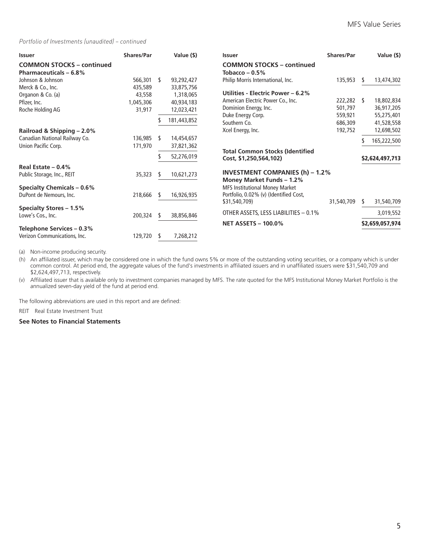#### *Portfolio of Investments (unaudited) – continued*

| <b>Issuer</b>                                                     | Shares/Par |    | Value (\$)  | <b>Issuer</b>                                           | <b>Shares/Par</b> |   | Value (\$)      |
|-------------------------------------------------------------------|------------|----|-------------|---------------------------------------------------------|-------------------|---|-----------------|
| <b>COMMON STOCKS - continued</b><br><b>Pharmaceuticals - 6.8%</b> |            |    |             | <b>COMMON STOCKS - continued</b><br>Tobacco – $0.5\%$   |                   |   |                 |
| Johnson & Johnson                                                 | 566,301    | -S | 93,292,427  | Philip Morris International, Inc.                       | 135,953           | s | 13,474,302      |
| Merck & Co., Inc.                                                 | 435,589    |    | 33,875,756  |                                                         |                   |   |                 |
| Organon & Co. (a)                                                 | 43,558     |    | 1,318,065   | Utilities - Electric Power – 6.2%                       |                   |   |                 |
| Pfizer, Inc.                                                      | 1,045,306  |    | 40,934,183  | American Electric Power Co., Inc.                       | 222,282           | S | 18,802,834      |
| Roche Holding AG                                                  | 31,917     |    | 12,023,421  | Dominion Energy, Inc.                                   | 501,797           |   | 36,917,205      |
|                                                                   |            |    |             | Duke Energy Corp.                                       | 559,921           |   | 55,275,401      |
|                                                                   |            |    | 181,443,852 | Southern Co.                                            | 686,309           |   | 41,528,558      |
| Railroad & Shipping - 2.0%                                        |            |    |             | Xcel Energy, Inc.                                       | 192,752           |   | 12,698,502      |
| Canadian National Railway Co.                                     | 136,985    | S  | 14,454,657  |                                                         |                   |   | 165,222,500     |
| Union Pacific Corp.                                               | 171,970    |    | 37,821,362  |                                                         |                   |   |                 |
|                                                                   |            |    | 52,276,019  | <b>Total Common Stocks (Identified</b>                  |                   |   |                 |
|                                                                   |            |    |             | Cost, \$1,250,564,102)                                  |                   |   | \$2,624,497,713 |
| Real Estate $-0.4%$                                               |            |    |             |                                                         |                   |   |                 |
| Public Storage, Inc., REIT                                        | 35,323     | -S | 10,621,273  | <b>INVESTMENT COMPANIES (h) - 1.2%</b>                  |                   |   |                 |
|                                                                   |            |    |             | Money Market Funds - 1.2%                               |                   |   |                 |
| <b>Specialty Chemicals - 0.6%</b>                                 |            |    |             | <b>MFS Institutional Money Market</b>                   |                   |   |                 |
| DuPont de Nemours, Inc.                                           | 218,666    | -S | 16,926,935  | Portfolio, 0.02% (v) (Identified Cost,<br>\$31,540,709) | 31,540,709        | S | 31,540,709      |
| <b>Specialty Stores - 1.5%</b>                                    |            |    |             |                                                         |                   |   |                 |
| Lowe's Cos., Inc.                                                 | 200,324    | s  | 38,856,846  | OTHER ASSETS, LESS LIABILITIES - 0.1%                   |                   |   | 3,019,552       |
|                                                                   |            |    |             | <b>NET ASSETS - 100.0%</b>                              |                   |   | \$2,659,057,974 |
| Telephone Services - 0.3%                                         |            |    |             |                                                         |                   |   |                 |
| Verizon Communications, Inc.                                      | 129,720    | S  | 7,268,212   |                                                         |                   |   |                 |

(a) Non-income producing security.

(h) An affiliated issuer, which may be considered one in which the fund owns 5% or more of the outstanding voting securities, or a company which is under common control. At period end, the aggregate values of the fund's investments in affiliated issuers and in unaffiliated issuers were \$31,540,709 and \$2,624,497,713, respectively.

(v) Affiliated issuer that is available only to investment companies managed by MFS. The rate quoted for the MFS Institutional Money Market Portfolio is the annualized seven-day yield of the fund at period end.

The following abbreviations are used in this report and are defined:

REIT Real Estate Investment Trust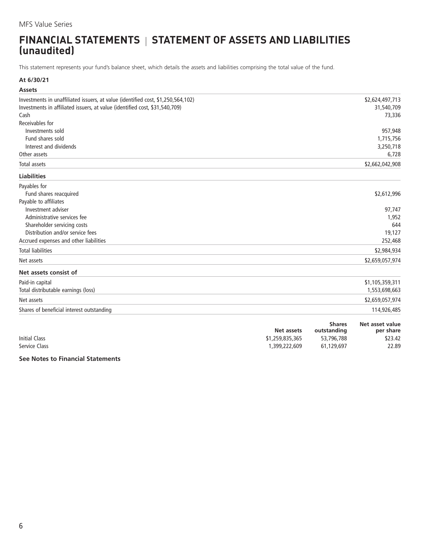# <span id="page-7-0"></span>**FINANCIAL STATEMENTS | STATEMENT OF ASSETS AND LIABILITIES (unaudited)**

This statement represents your fund's balance sheet, which details the assets and liabilities comprising the total value of the fund.

## **At 6/30/21**

| <b>Assets</b>                                                                    |                                      |                                            |                                         |
|----------------------------------------------------------------------------------|--------------------------------------|--------------------------------------------|-----------------------------------------|
| Investments in unaffiliated issuers, at value (identified cost, \$1,250,564,102) |                                      |                                            | \$2,624,497,713                         |
| Investments in affiliated issuers, at value (identified cost, \$31,540,709)      |                                      |                                            | 31,540,709                              |
| Cash                                                                             |                                      |                                            | 73,336                                  |
| Receivables for                                                                  |                                      |                                            |                                         |
| Investments sold                                                                 |                                      |                                            | 957,948                                 |
| Fund shares sold                                                                 |                                      |                                            | 1,715,756                               |
| Interest and dividends                                                           |                                      |                                            | 3,250,718                               |
| Other assets                                                                     |                                      |                                            | 6,728                                   |
| Total assets                                                                     |                                      |                                            | \$2,662,042,908                         |
| <b>Liabilities</b>                                                               |                                      |                                            |                                         |
| Payables for                                                                     |                                      |                                            |                                         |
| Fund shares reacquired                                                           |                                      |                                            | \$2,612,996                             |
| Payable to affiliates                                                            |                                      |                                            |                                         |
| Investment adviser                                                               |                                      |                                            | 97,747                                  |
| Administrative services fee                                                      |                                      |                                            | 1,952                                   |
| Shareholder servicing costs                                                      |                                      |                                            | 644                                     |
| Distribution and/or service fees                                                 |                                      |                                            | 19,127                                  |
| Accrued expenses and other liabilities                                           |                                      |                                            | 252,468                                 |
| <b>Total liabilities</b>                                                         |                                      |                                            | \$2,984,934                             |
| Net assets                                                                       |                                      |                                            | \$2,659,057,974                         |
| Net assets consist of                                                            |                                      |                                            |                                         |
| Paid-in capital                                                                  |                                      |                                            | \$1,105,359,311                         |
| Total distributable earnings (loss)                                              |                                      |                                            | 1,553,698,663                           |
| Net assets                                                                       |                                      |                                            | \$2,659,057,974                         |
| Shares of beneficial interest outstanding                                        |                                      |                                            | 114,926,485                             |
| Initial Class                                                                    | <b>Net assets</b><br>\$1.759.835.365 | <b>Shares</b><br>outstanding<br>53 796 788 | Net asset value<br>per share<br>\$23.42 |

|                      | ivet assets     | outstanding | per snare |
|----------------------|-----------------|-------------|-----------|
| <b>Initial Class</b> | \$1,259,835,365 | 53,796,788  | \$23.42   |
| Service Class        | 399,222,609,،   | 61.129.697  | 22.89     |
|                      |                 |             |           |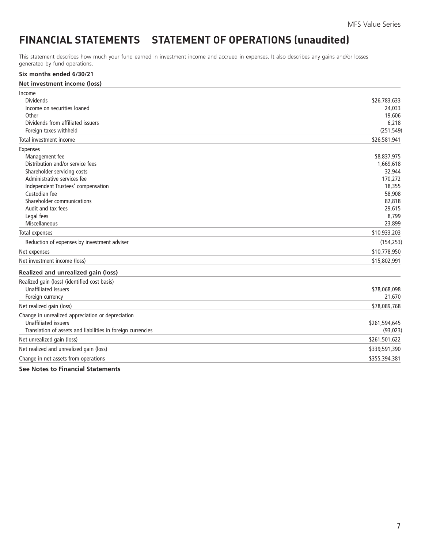# <span id="page-8-0"></span>FINANCIAL STATEMENTS | STATEMENT OF OPERATIONS (unaudited)

This statement describes how much your fund earned in investment income and accrued in expenses. It also describes any gains and/or losses generated by fund operations.

# **Six months ended 6/30/21**

| Net investment income (loss)                                |               |
|-------------------------------------------------------------|---------------|
| Income                                                      |               |
| <b>Dividends</b>                                            | \$26,783,633  |
| Income on securities loaned                                 | 24,033        |
| Other                                                       | 19,606        |
| Dividends from affiliated issuers                           | 6,218         |
| Foreign taxes withheld                                      | (251, 549)    |
| Total investment income                                     | \$26,581,941  |
| Expenses                                                    |               |
| Management fee                                              | \$8,837,975   |
| Distribution and/or service fees                            | 1,669,618     |
| Shareholder servicing costs                                 | 32,944        |
| Administrative services fee                                 | 170,272       |
| Independent Trustees' compensation                          | 18,355        |
| Custodian fee                                               | 58,908        |
| Shareholder communications                                  | 82,818        |
| Audit and tax fees                                          | 29,615        |
| Legal fees                                                  | 8,799         |
| Miscellaneous                                               | 23,899        |
| <b>Total expenses</b>                                       | \$10,933,203  |
| Reduction of expenses by investment adviser                 | (154, 253)    |
| Net expenses                                                | \$10,778,950  |
| Net investment income (loss)                                | \$15,802,991  |
| Realized and unrealized gain (loss)                         |               |
| Realized gain (loss) (identified cost basis)                |               |
| <b>Unaffiliated issuers</b>                                 | \$78,068,098  |
| Foreign currency                                            | 21,670        |
| Net realized gain (loss)                                    | \$78,089,768  |
| Change in unrealized appreciation or depreciation           |               |
| <b>Unaffiliated issuers</b>                                 | \$261,594,645 |
| Translation of assets and liabilities in foreign currencies | (93, 023)     |
| Net unrealized gain (loss)                                  | \$261,501,622 |
| Net realized and unrealized gain (loss)                     | \$339,591,390 |
| Change in net assets from operations                        | \$355,394,381 |
|                                                             |               |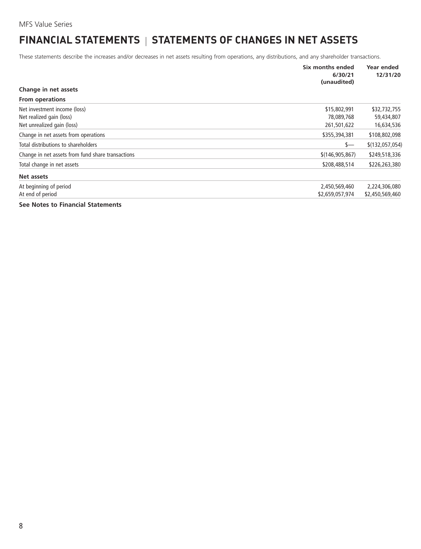# <span id="page-9-0"></span>**FINANCIAL STATEMENTS | STATEMENTS OF CHANGES IN NET ASSETS**

These statements describe the increases and/or decreases in net assets resulting from operations, any distributions, and any shareholder transactions.

|                                                   | Six months ended<br>6/30/21<br>(unaudited) | Year ended<br>12/31/20 |
|---------------------------------------------------|--------------------------------------------|------------------------|
| Change in net assets                              |                                            |                        |
| <b>From operations</b>                            |                                            |                        |
| Net investment income (loss)                      | \$15,802,991                               | \$32,732,755           |
| Net realized gain (loss)                          | 78,089,768                                 | 59,434,807             |
| Net unrealized gain (loss)                        | 261,501,622                                | 16,634,536             |
| Change in net assets from operations              | \$355,394,381                              | \$108,802,098          |
| Total distributions to shareholders               | \$—                                        | \$(132,057,054)        |
| Change in net assets from fund share transactions | \$(146, 905, 867)                          | \$249,518,336          |
| Total change in net assets                        | \$208,488,514                              | \$226,263,380          |
| Net assets                                        |                                            |                        |
| At beginning of period                            | 2,450,569,460                              | 2,224,306,080          |
| At end of period                                  | \$2,659,057,974                            | \$2,450,569,460        |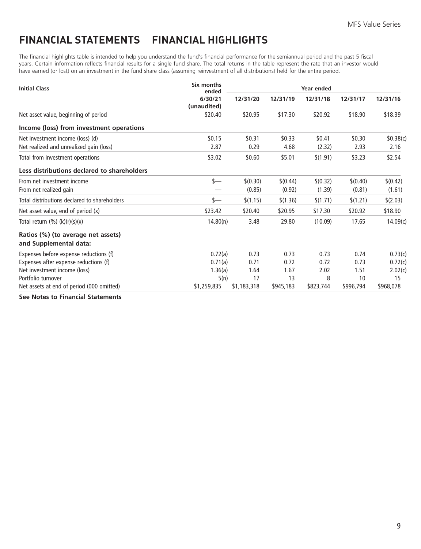# <span id="page-10-0"></span>**FINANCIAL STATEMENTS FINANCIAL HIGHLIGHTS**

The financial highlights table is intended to help you understand the fund's financial performance for the semiannual period and the past 5 fiscal years. Certain information reflects financial results for a single fund share. The total returns in the table represent the rate that an investor would have earned (or lost) on an investment in the fund share class (assuming reinvestment of all distributions) held for the entire period.

| <b>Initial Class</b>                                         | Six months<br>ended    |             | Year ended |           |           |           |
|--------------------------------------------------------------|------------------------|-------------|------------|-----------|-----------|-----------|
|                                                              | 6/30/21<br>(unaudited) | 12/31/20    | 12/31/19   | 12/31/18  | 12/31/17  | 12/31/16  |
| Net asset value, beginning of period                         | \$20.40                | \$20.95     | \$17.30    | \$20.92   | \$18.90   | \$18.39   |
| Income (loss) from investment operations                     |                        |             |            |           |           |           |
| Net investment income (loss) (d)                             | \$0.15                 | \$0.31      | \$0.33     | \$0.41    | \$0.30    | \$0.38(c) |
| Net realized and unrealized gain (loss)                      | 2.87                   | 0.29        | 4.68       | (2.32)    | 2.93      | 2.16      |
| Total from investment operations                             | \$3.02                 | \$0.60      | \$5.01     | \$(1.91)  | \$3.23    | \$2.54    |
| Less distributions declared to shareholders                  |                        |             |            |           |           |           |
| From net investment income                                   | $s-$                   | \$(0.30)    | \$(0.44)   | \$(0.32)  | \$(0.40)  | \$(0.42)  |
| From net realized gain                                       |                        | (0.85)      | (0.92)     | (1.39)    | (0.81)    | (1.61)    |
| Total distributions declared to shareholders                 | $s-$                   | \$(1.15)    | \$(1.36)   | \$(1.71)  | \$(1.21)  | \$(2.03)  |
| Net asset value, end of period (x)                           | \$23.42                | \$20.40     | \$20.95    | \$17.30   | \$20.92   | \$18.90   |
| Total return $(\%) (k)(r)(s)(x)$                             | 14.80(n)               | 3.48        | 29.80      | (10.09)   | 17.65     | 14.09(c)  |
| Ratios (%) (to average net assets)<br>and Supplemental data: |                        |             |            |           |           |           |
| Expenses before expense reductions (f)                       | 0.72(a)                | 0.73        | 0.73       | 0.73      | 0.74      | 0.73(c)   |
| Expenses after expense reductions (f)                        | 0.71(a)                | 0.71        | 0.72       | 0.72      | 0.73      | 0.72(c)   |
| Net investment income (loss)                                 | 1.36(a)                | 1.64        | 1.67       | 2.02      | 1.51      | 2.02(c)   |
| Portfolio turnover                                           | 5(n)                   | 17          | 13         | 8         | 10        | 15        |
| Net assets at end of period (000 omitted)                    | \$1,259,835            | \$1,183,318 | \$945,183  | \$823,744 | \$996,794 | \$968,078 |
| Can Materiae Floringhal Ctatements                           |                        |             |            |           |           |           |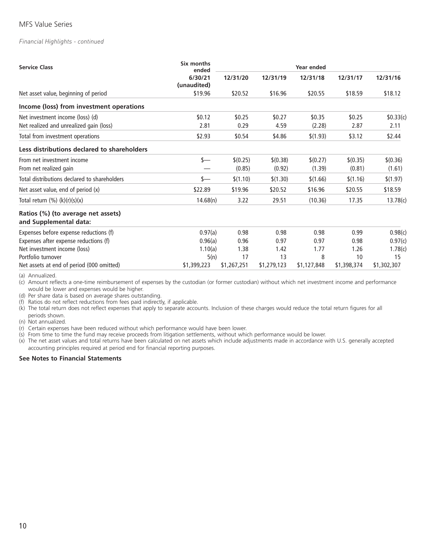#### *Financial Highlights - continued*

| <b>Service Class</b>                                         | Six months<br>ended    | Year ended  |             |             |             |             |
|--------------------------------------------------------------|------------------------|-------------|-------------|-------------|-------------|-------------|
|                                                              | 6/30/21<br>(unaudited) | 12/31/20    | 12/31/19    | 12/31/18    | 12/31/17    | 12/31/16    |
| Net asset value, beginning of period                         | \$19.96                | \$20.52     | \$16.96     | \$20.55     | \$18.59     | \$18.12     |
| Income (loss) from investment operations                     |                        |             |             |             |             |             |
| Net investment income (loss) (d)                             | \$0.12                 | \$0.25      | \$0.27      | \$0.35      | \$0.25      | \$0.33(c)   |
| Net realized and unrealized gain (loss)                      | 2.81                   | 0.29        | 4.59        | (2.28)      | 2.87        | 2.11        |
| Total from investment operations                             | \$2.93                 | \$0.54      | \$4.86      | \$(1.93)    | \$3.12      | \$2.44      |
| Less distributions declared to shareholders                  |                        |             |             |             |             |             |
| From net investment income                                   | $s-$                   | \$(0.25)    | \$(0.38)    | \$(0.27)    | \$(0.35)    | \$(0.36)    |
| From net realized gain                                       |                        | (0.85)      | (0.92)      | (1.39)      | (0.81)      | (1.61)      |
| Total distributions declared to shareholders                 | s—                     | \$(1.10)    | \$(1.30)    | \$(1.66)    | \$(1.16)    | \$(1.97)    |
| Net asset value, end of period (x)                           | \$22.89                | \$19.96     | \$20.52     | \$16.96     | \$20.55     | \$18.59     |
| Total return $(\%) (k)(r)(s)(x)$                             | 14.68(n)               | 3.22        | 29.51       | (10.36)     | 17.35       | 13.78(c)    |
| Ratios (%) (to average net assets)<br>and Supplemental data: |                        |             |             |             |             |             |
| Expenses before expense reductions (f)                       | 0.97(a)                | 0.98        | 0.98        | 0.98        | 0.99        | 0.98(c)     |
| Expenses after expense reductions (f)                        | 0.96(a)                | 0.96        | 0.97        | 0.97        | 0.98        | 0.97(c)     |
| Net investment income (loss)                                 | 1.10(a)                | 1.38        | 1.42        | 1.77        | 1.26        | 1.78(c)     |
| Portfolio turnover                                           | 5(n)                   | 17          | 13          | 8           | 10          | 15          |
| Net assets at end of period (000 omitted)                    | \$1,399,223            | \$1,267,251 | \$1,279,123 | \$1,127,848 | \$1,398,374 | \$1,302,307 |

(a) Annualized.

(c) Amount reflects a one-time reimbursement of expenses by the custodian (or former custodian) without which net investment income and performance would be lower and expenses would be higher.

(d) Per share data is based on average shares outstanding.

(f) Ratios do not reflect reductions from fees paid indirectly, if applicable.

(k) The total return does not reflect expenses that apply to separate accounts. Inclusion of these charges would reduce the total return figures for all periods shown.

(n) Not annualized.

(r) Certain expenses have been reduced without which performance would have been lower.

(s) From time to time the fund may receive proceeds from litigation settlements, without which performance would be lower.

(x) The net asset values and total returns have been calculated on net assets which include adjustments made in accordance with U.S. generally accepted accounting principles required at period end for financial reporting purposes.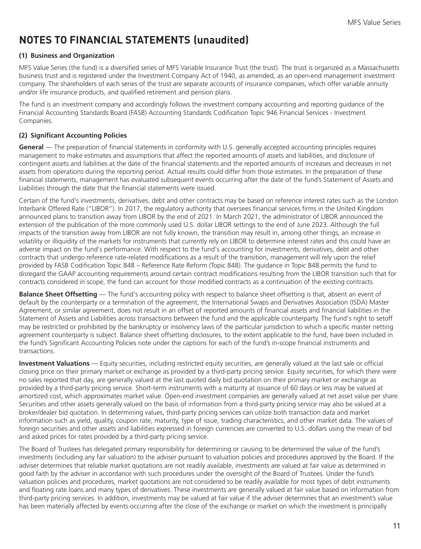# <span id="page-12-0"></span>**NOTES TO FINANCIAL STATEMENTS (unaudited)**

## **(1) Business and Organization**

MFS Value Series (the fund) is a diversified series of MFS Variable Insurance Trust (the trust). The trust is organized as a Massachusetts business trust and is registered under the Investment Company Act of 1940, as amended, as an open-end management investment company. The shareholders of each series of the trust are separate accounts of insurance companies, which offer variable annuity and/or life insurance products, and qualified retirement and pension plans.

The fund is an investment company and accordingly follows the investment company accounting and reporting guidance of the Financial Accounting Standards Board (FASB) Accounting Standards Codification Topic 946 Financial Services - Investment Companies.

## **(2) Significant Accounting Policies**

**General** — The preparation of financial statements in conformity with U.S. generally accepted accounting principles requires management to make estimates and assumptions that affect the reported amounts of assets and liabilities, and disclosure of contingent assets and liabilities at the date of the financial statements and the reported amounts of increases and decreases in net assets from operations during the reporting period. Actual results could differ from those estimates. In the preparation of these financial statements, management has evaluated subsequent events occurring after the date of the fund's Statement of Assets and Liabilities through the date that the financial statements were issued.

Certain of the fund's investments, derivatives, debt and other contracts may be based on reference interest rates such as the London Interbank Offered Rate ("LIBOR"). In 2017, the regulatory authority that oversees financial services firms in the United Kingdom announced plans to transition away from LIBOR by the end of 2021. In March 2021, the administrator of LIBOR announced the extension of the publication of the more commonly used U.S. dollar LIBOR settings to the end of June 2023. Although the full impacts of the transition away from LIBOR are not fully known, the transition may result in, among other things, an increase in volatility or illiquidity of the markets for instruments that currently rely on LIBOR to determine interest rates and this could have an adverse impact on the fund's performance. With respect to the fund's accounting for investments, derivatives, debt and other contracts that undergo reference rate-related modifications as a result of the transition, management will rely upon the relief provided by FASB Codification Topic 848 – Reference Rate Reform (Topic 848). The guidance in Topic 848 permits the fund to disregard the GAAP accounting requirements around certain contract modifications resulting from the LIBOR transition such that for contracts considered in scope, the fund can account for those modified contracts as a continuation of the existing contracts.

**Balance Sheet Offsetting** — The fund's accounting policy with respect to balance sheet offsetting is that, absent an event of default by the counterparty or a termination of the agreement, the International Swaps and Derivatives Association (ISDA) Master Agreement, or similar agreement, does not result in an offset of reported amounts of financial assets and financial liabilities in the Statement of Assets and Liabilities across transactions between the fund and the applicable counterparty. The fund's right to setoff may be restricted or prohibited by the bankruptcy or insolvency laws of the particular jurisdiction to which a specific master netting agreement counterparty is subject. Balance sheet offsetting disclosures, to the extent applicable to the fund, have been included in the fund's Significant Accounting Policies note under the captions for each of the fund's in-scope financial instruments and transactions.

**Investment Valuations** — Equity securities, including restricted equity securities, are generally valued at the last sale or official closing price on their primary market or exchange as provided by a third-party pricing service. Equity securities, for which there were no sales reported that day, are generally valued at the last quoted daily bid quotation on their primary market or exchange as provided by a third-party pricing service. Short-term instruments with a maturity at issuance of 60 days or less may be valued at amortized cost, which approximates market value. Open-end investment companies are generally valued at net asset value per share. Securities and other assets generally valued on the basis of information from a third-party pricing service may also be valued at a broker/dealer bid quotation. In determining values, third-party pricing services can utilize both transaction data and market information such as yield, quality, coupon rate, maturity, type of issue, trading characteristics, and other market data. The values of foreign securities and other assets and liabilities expressed in foreign currencies are converted to U.S. dollars using the mean of bid and asked prices for rates provided by a third-party pricing service.

The Board of Trustees has delegated primary responsibility for determining or causing to be determined the value of the fund's investments (including any fair valuation) to the adviser pursuant to valuation policies and procedures approved by the Board. If the adviser determines that reliable market quotations are not readily available, investments are valued at fair value as determined in good faith by the adviser in accordance with such procedures under the oversight of the Board of Trustees. Under the fund's valuation policies and procedures, market quotations are not considered to be readily available for most types of debt instruments and floating rate loans and many types of derivatives. These investments are generally valued at fair value based on information from third-party pricing services. In addition, investments may be valued at fair value if the adviser determines that an investment's value has been materially affected by events occurring after the close of the exchange or market on which the investment is principally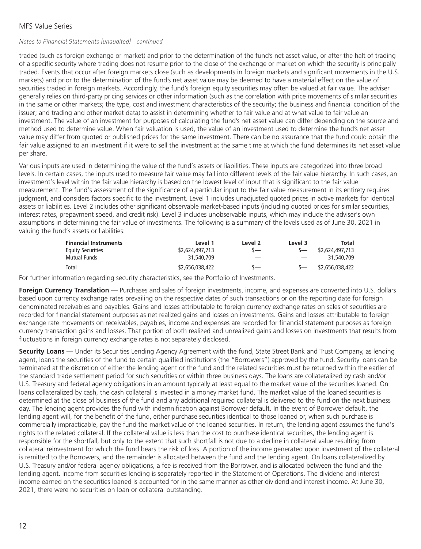#### *Notes to Financial Statements (unaudited) - continued*

traded (such as foreign exchange or market) and prior to the determination of the fund's net asset value, or after the halt of trading of a specific security where trading does not resume prior to the close of the exchange or market on which the security is principally traded. Events that occur after foreign markets close (such as developments in foreign markets and significant movements in the U.S. markets) and prior to the determination of the fund's net asset value may be deemed to have a material effect on the value of securities traded in foreign markets. Accordingly, the fund's foreign equity securities may often be valued at fair value. The adviser generally relies on third-party pricing services or other information (such as the correlation with price movements of similar securities in the same or other markets; the type, cost and investment characteristics of the security; the business and financial condition of the issuer; and trading and other market data) to assist in determining whether to fair value and at what value to fair value an investment. The value of an investment for purposes of calculating the fund's net asset value can differ depending on the source and method used to determine value. When fair valuation is used, the value of an investment used to determine the fund's net asset value may differ from quoted or published prices for the same investment. There can be no assurance that the fund could obtain the fair value assigned to an investment if it were to sell the investment at the same time at which the fund determines its net asset value per share.

Various inputs are used in determining the value of the fund's assets or liabilities. These inputs are categorized into three broad levels. In certain cases, the inputs used to measure fair value may fall into different levels of the fair value hierarchy. In such cases, an investment's level within the fair value hierarchy is based on the lowest level of input that is significant to the fair value measurement. The fund's assessment of the significance of a particular input to the fair value measurement in its entirety requires judgment, and considers factors specific to the investment. Level 1 includes unadjusted quoted prices in active markets for identical assets or liabilities. Level 2 includes other significant observable market-based inputs (including quoted prices for similar securities, interest rates, prepayment speed, and credit risk). Level 3 includes unobservable inputs, which may include the adviser's own assumptions in determining the fair value of investments. The following is a summary of the levels used as of June 30, 2021 in valuing the fund's assets or liabilities:

| <b>Financial Instruments</b> | Level 1         | Level 2 | Level 3 | Total           |
|------------------------------|-----------------|---------|---------|-----------------|
| <b>Equity Securities</b>     | \$2,624,497,713 |         |         | \$2,624,497,713 |
| Mutual Funds                 | 31,540,709      |         |         | 31,540,709      |
| Total                        | \$2,656,038,422 |         |         | \$2,656,038,422 |

For further information regarding security characteristics, see the Portfolio of Investments.

**Foreign Currency Translation** — Purchases and sales of foreign investments, income, and expenses are converted into U.S. dollars based upon currency exchange rates prevailing on the respective dates of such transactions or on the reporting date for foreign denominated receivables and payables. Gains and losses attributable to foreign currency exchange rates on sales of securities are recorded for financial statement purposes as net realized gains and losses on investments. Gains and losses attributable to foreign exchange rate movements on receivables, payables, income and expenses are recorded for financial statement purposes as foreign currency transaction gains and losses. That portion of both realized and unrealized gains and losses on investments that results from fluctuations in foreign currency exchange rates is not separately disclosed.

**Security Loans** — Under its Securities Lending Agency Agreement with the fund, State Street Bank and Trust Company, as lending agent, loans the securities of the fund to certain qualified institutions (the "Borrowers") approved by the fund. Security loans can be terminated at the discretion of either the lending agent or the fund and the related securities must be returned within the earlier of the standard trade settlement period for such securities or within three business days. The loans are collateralized by cash and/or U.S. Treasury and federal agency obligations in an amount typically at least equal to the market value of the securities loaned. On loans collateralized by cash, the cash collateral is invested in a money market fund. The market value of the loaned securities is determined at the close of business of the fund and any additional required collateral is delivered to the fund on the next business day. The lending agent provides the fund with indemnification against Borrower default. In the event of Borrower default, the lending agent will, for the benefit of the fund, either purchase securities identical to those loaned or, when such purchase is commercially impracticable, pay the fund the market value of the loaned securities. In return, the lending agent assumes the fund's rights to the related collateral. If the collateral value is less than the cost to purchase identical securities, the lending agent is responsible for the shortfall, but only to the extent that such shortfall is not due to a decline in collateral value resulting from collateral reinvestment for which the fund bears the risk of loss. A portion of the income generated upon investment of the collateral is remitted to the Borrowers, and the remainder is allocated between the fund and the lending agent. On loans collateralized by U.S. Treasury and/or federal agency obligations, a fee is received from the Borrower, and is allocated between the fund and the lending agent. Income from securities lending is separately reported in the Statement of Operations. The dividend and interest income earned on the securities loaned is accounted for in the same manner as other dividend and interest income. At June 30, 2021, there were no securities on loan or collateral outstanding.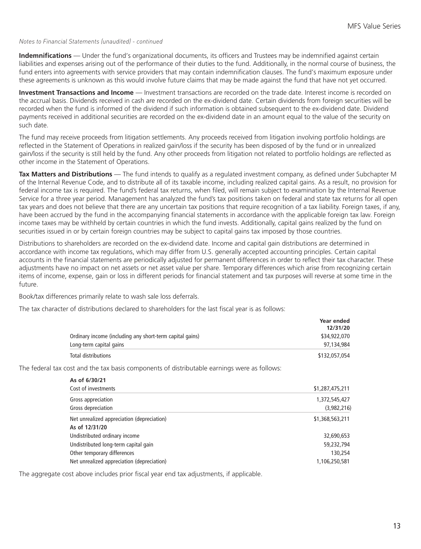#### *Notes to Financial Statements (unaudited) - continued*

**Indemnifications** — Under the fund's organizational documents, its officers and Trustees may be indemnified against certain liabilities and expenses arising out of the performance of their duties to the fund. Additionally, in the normal course of business, the fund enters into agreements with service providers that may contain indemnification clauses. The fund's maximum exposure under these agreements is unknown as this would involve future claims that may be made against the fund that have not yet occurred.

**Investment Transactions and Income** — Investment transactions are recorded on the trade date. Interest income is recorded on the accrual basis. Dividends received in cash are recorded on the ex-dividend date. Certain dividends from foreign securities will be recorded when the fund is informed of the dividend if such information is obtained subsequent to the ex-dividend date. Dividend payments received in additional securities are recorded on the ex-dividend date in an amount equal to the value of the security on such date.

The fund may receive proceeds from litigation settlements. Any proceeds received from litigation involving portfolio holdings are reflected in the Statement of Operations in realized gain/loss if the security has been disposed of by the fund or in unrealized gain/loss if the security is still held by the fund. Any other proceeds from litigation not related to portfolio holdings are reflected as other income in the Statement of Operations.

**Tax Matters and Distributions** — The fund intends to qualify as a regulated investment company, as defined under Subchapter M of the Internal Revenue Code, and to distribute all of its taxable income, including realized capital gains. As a result, no provision for federal income tax is required. The fund's federal tax returns, when filed, will remain subject to examination by the Internal Revenue Service for a three year period. Management has analyzed the fund's tax positions taken on federal and state tax returns for all open tax years and does not believe that there are any uncertain tax positions that require recognition of a tax liability. Foreign taxes, if any, have been accrued by the fund in the accompanying financial statements in accordance with the applicable foreign tax law. Foreign income taxes may be withheld by certain countries in which the fund invests. Additionally, capital gains realized by the fund on securities issued in or by certain foreign countries may be subject to capital gains tax imposed by those countries.

Distributions to shareholders are recorded on the ex-dividend date. Income and capital gain distributions are determined in accordance with income tax regulations, which may differ from U.S. generally accepted accounting principles. Certain capital accounts in the financial statements are periodically adjusted for permanent differences in order to reflect their tax character. These adjustments have no impact on net assets or net asset value per share. Temporary differences which arise from recognizing certain items of income, expense, gain or loss in different periods for financial statement and tax purposes will reverse at some time in the future.

Book/tax differences primarily relate to wash sale loss deferrals.

The tax character of distributions declared to shareholders for the last fiscal year is as follows:

|                                                          | Year ended<br>12/31/20 |
|----------------------------------------------------------|------------------------|
| Ordinary income (including any short-term capital gains) | \$34,922,070           |
| Long-term capital gains                                  | 97.134.984             |
| Total distributions                                      | \$132,057,054          |

The federal tax cost and the tax basis components of distributable earnings were as follows:

| As of 6/30/21                              |                 |
|--------------------------------------------|-----------------|
| Cost of investments                        | \$1,287,475,211 |
| Gross appreciation                         | 1,372,545,427   |
| Gross depreciation                         | (3,982,216)     |
| Net unrealized appreciation (depreciation) | \$1,368,563,211 |
| As of 12/31/20                             |                 |
| Undistributed ordinary income              | 32,690,653      |
| Undistributed long-term capital gain       | 59,232,794      |
| Other temporary differences                | 130,254         |
| Net unrealized appreciation (depreciation) | 1.106.250.581   |

The aggregate cost above includes prior fiscal year end tax adjustments, if applicable.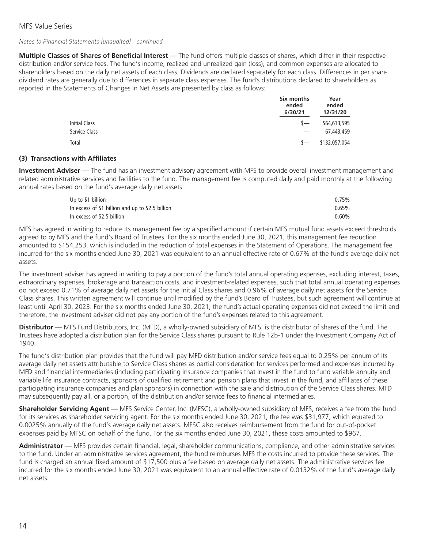#### *Notes to Financial Statements (unaudited) - continued*

**Multiple Classes of Shares of Beneficial Interest** — The fund offers multiple classes of shares, which differ in their respective distribution and/or service fees. The fund's income, realized and unrealized gain (loss), and common expenses are allocated to shareholders based on the daily net assets of each class. Dividends are declared separately for each class. Differences in per share dividend rates are generally due to differences in separate class expenses. The fund's distributions declared to shareholders as reported in the Statements of Changes in Net Assets are presented by class as follows:

|                      | Six months<br>ended<br>6/30/21 | Year<br>ended<br>12/31/20 |  |
|----------------------|--------------------------------|---------------------------|--|
| <b>Initial Class</b> | $\sim$                         | \$64,613,595              |  |
| Service Class        |                                | 67,443,459                |  |
| Total                | $\sim$                         | \$132,057,054             |  |

#### **(3) Transactions with Affiliates**

**Investment Adviser** — The fund has an investment advisory agreement with MFS to provide overall investment management and related administrative services and facilities to the fund. The management fee is computed daily and paid monthly at the following annual rates based on the fund's average daily net assets:

| Up to \$1 billion                                | 0.75% |
|--------------------------------------------------|-------|
| In excess of \$1 billion and up to \$2.5 billion | 0.65% |
| In excess of \$2.5 billion                       | 0.60% |

MFS has agreed in writing to reduce its management fee by a specified amount if certain MFS mutual fund assets exceed thresholds agreed to by MFS and the fund's Board of Trustees. For the six months ended June 30, 2021, this management fee reduction amounted to \$154,253, which is included in the reduction of total expenses in the Statement of Operations. The management fee incurred for the six months ended June 30, 2021 was equivalent to an annual effective rate of 0.67% of the fund's average daily net assets.

The investment adviser has agreed in writing to pay a portion of the fund's total annual operating expenses, excluding interest, taxes, extraordinary expenses, brokerage and transaction costs, and investment-related expenses, such that total annual operating expenses do not exceed 0.71% of average daily net assets for the Initial Class shares and 0.96% of average daily net assets for the Service Class shares. This written agreement will continue until modified by the fund's Board of Trustees, but such agreement will continue at least until April 30, 2023. For the six months ended June 30, 2021, the fund's actual operating expenses did not exceed the limit and therefore, the investment adviser did not pay any portion of the fund's expenses related to this agreement.

**Distributor** — MFS Fund Distributors, Inc. (MFD), a wholly-owned subsidiary of MFS, is the distributor of shares of the fund. The Trustees have adopted a distribution plan for the Service Class shares pursuant to Rule 12b-1 under the Investment Company Act of 1940.

The fund's distribution plan provides that the fund will pay MFD distribution and/or service fees equal to 0.25% per annum of its average daily net assets attributable to Service Class shares as partial consideration for services performed and expenses incurred by MFD and financial intermediaries (including participating insurance companies that invest in the fund to fund variable annuity and variable life insurance contracts, sponsors of qualified retirement and pension plans that invest in the fund, and affiliates of these participating insurance companies and plan sponsors) in connection with the sale and distribution of the Service Class shares. MFD may subsequently pay all, or a portion, of the distribution and/or service fees to financial intermediaries.

**Shareholder Servicing Agent** — MFS Service Center, Inc. (MFSC), a wholly-owned subsidiary of MFS, receives a fee from the fund for its services as shareholder servicing agent. For the six months ended June 30, 2021, the fee was \$31,977, which equated to 0.0025% annually of the fund's average daily net assets. MFSC also receives reimbursement from the fund for out-of-pocket expenses paid by MFSC on behalf of the fund. For the six months ended June 30, 2021, these costs amounted to \$967.

**Administrator** — MFS provides certain financial, legal, shareholder communications, compliance, and other administrative services to the fund. Under an administrative services agreement, the fund reimburses MFS the costs incurred to provide these services. The fund is charged an annual fixed amount of \$17,500 plus a fee based on average daily net assets. The administrative services fee incurred for the six months ended June 30, 2021 was equivalent to an annual effective rate of 0.0132% of the fund's average daily net assets.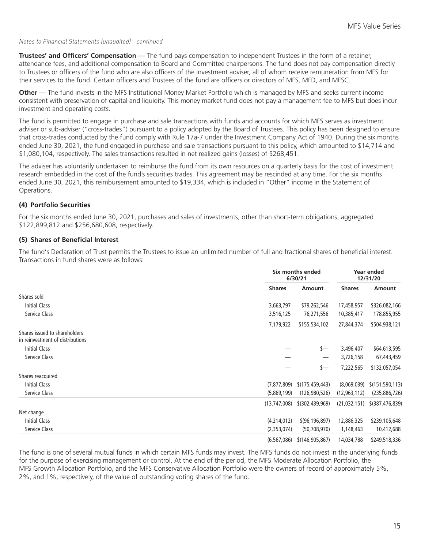#### *Notes to Financial Statements (unaudited) - continued*

**Trustees' and Officers' Compensation** — The fund pays compensation to independent Trustees in the form of a retainer, attendance fees, and additional compensation to Board and Committee chairpersons. The fund does not pay compensation directly to Trustees or officers of the fund who are also officers of the investment adviser, all of whom receive remuneration from MFS for their services to the fund. Certain officers and Trustees of the fund are officers or directors of MFS, MFD, and MFSC.

**Other** — The fund invests in the MFS Institutional Money Market Portfolio which is managed by MFS and seeks current income consistent with preservation of capital and liquidity. This money market fund does not pay a management fee to MFS but does incur investment and operating costs.

The fund is permitted to engage in purchase and sale transactions with funds and accounts for which MFS serves as investment adviser or sub-adviser ("cross-trades") pursuant to a policy adopted by the Board of Trustees. This policy has been designed to ensure that cross-trades conducted by the fund comply with Rule 17a-7 under the Investment Company Act of 1940. During the six months ended June 30, 2021, the fund engaged in purchase and sale transactions pursuant to this policy, which amounted to \$14,714 and \$1,080,104, respectively. The sales transactions resulted in net realized gains (losses) of \$268,451.

The adviser has voluntarily undertaken to reimburse the fund from its own resources on a quarterly basis for the cost of investment research embedded in the cost of the fund's securities trades. This agreement may be rescinded at any time. For the six months ended June 30, 2021, this reimbursement amounted to \$19,334, which is included in "Other" income in the Statement of Operations.

#### **(4) Portfolio Securities**

For the six months ended June 30, 2021, purchases and sales of investments, other than short-term obligations, aggregated \$122,899,812 and \$256,680,608, respectively.

## **(5) Shares of Beneficial Interest**

The fund's Declaration of Trust permits the Trustees to issue an unlimited number of full and fractional shares of beneficial interest. Transactions in fund shares were as follows:

|                                                                   |                | Six months ended<br>6/30/21 |                | Year ended<br>12/31/20 |  |
|-------------------------------------------------------------------|----------------|-----------------------------|----------------|------------------------|--|
|                                                                   | <b>Shares</b>  | Amount                      | <b>Shares</b>  | Amount                 |  |
| Shares sold                                                       |                |                             |                |                        |  |
| <b>Initial Class</b>                                              | 3,663,797      | \$79,262,546                | 17,458,957     | \$326,082,166          |  |
| Service Class                                                     | 3,516,125      | 76,271,556                  | 10,385,417     | 178,855,955            |  |
|                                                                   | 7,179,922      | \$155,534,102               | 27,844,374     | \$504,938,121          |  |
| Shares issued to shareholders<br>in reinvestment of distributions |                |                             |                |                        |  |
| Initial Class                                                     |                | s—                          | 3,496,407      | \$64,613,595           |  |
| Service Class                                                     |                |                             | 3,726,158      | 67,443,459             |  |
|                                                                   |                | \$—                         | 7,222,565      | \$132,057,054          |  |
| Shares reacquired                                                 |                |                             |                |                        |  |
| <b>Initial Class</b>                                              | (7, 877, 809)  | \$(175, 459, 443)           | (8,069,039)    | \$(151, 590, 113)      |  |
| Service Class                                                     | (5,869,199)    | (126,980,526)               | (12, 963, 112) | (235,886,726)          |  |
|                                                                   | (13, 747, 008) | \$(302,439,969)             | (21,032,151)   | \$(387,476,839)        |  |
| Net change                                                        |                |                             |                |                        |  |
| Initial Class                                                     | (4,214,012)    | \$(96, 196, 897)            | 12,886,325     | \$239,105,648          |  |
| Service Class                                                     | (2,353,074)    | (50,708,970)                | 1,148,463      | 10,412,688             |  |
|                                                                   | (6, 567, 086)  | \$(146, 905, 867)           | 14,034,788     | \$249,518,336          |  |

The fund is one of several mutual funds in which certain MFS funds may invest. The MFS funds do not invest in the underlying funds for the purpose of exercising management or control. At the end of the period, the MFS Moderate Allocation Portfolio, the MFS Growth Allocation Portfolio, and the MFS Conservative Allocation Portfolio were the owners of record of approximately 5%, 2%, and 1%, respectively, of the value of outstanding voting shares of the fund.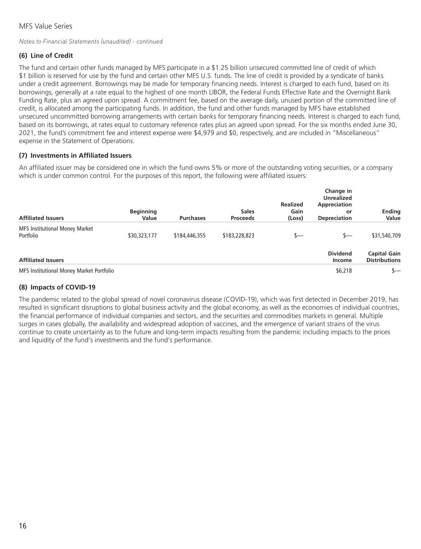#### *Notes to Financial Statements (unaudited) - continued*

## **(6) Line of Credit**

The fund and certain other funds managed by MFS participate in a \$1.25 billion unsecured committed line of credit of which \$1 billion is reserved for use by the fund and certain other MFS U.S. funds. The line of credit is provided by a syndicate of banks under a credit agreement. Borrowings may be made for temporary financing needs. Interest is charged to each fund, based on its borrowings, generally at a rate equal to the highest of one month LIBOR, the Federal Funds Effective Rate and the Overnight Bank Funding Rate, plus an agreed upon spread. A commitment fee, based on the average daily, unused portion of the committed line of credit, is allocated among the participating funds. In addition, the fund and other funds managed by MFS have established unsecured uncommitted borrowing arrangements with certain banks for temporary financing needs. Interest is charged to each fund, based on its borrowings, at rates equal to customary reference rates plus an agreed upon spread. For the six months ended June 30, 2021, the fund's commitment fee and interest expense were \$4,979 and \$0, respectively, and are included in "Miscellaneous" expense in the Statement of Operations.

#### **(7) Investments in Affiliated Issuers**

An affiliated issuer may be considered one in which the fund owns 5% or more of the outstanding voting securities, or a company which is under common control. For the purposes of this report, the following were affiliated issuers:

| <b>Affiliated Issuers</b>                   | <b>Beginning</b><br>Value | <b>Purchases</b> | <b>Sales</b><br><b>Proceeds</b> | <b>Realized</b><br>Gain<br>(Loss) | Change in<br><b>Unrealized</b><br>Appreciation<br>or<br><b>Depreciation</b> | <b>Ending</b><br>Value                      |
|---------------------------------------------|---------------------------|------------------|---------------------------------|-----------------------------------|-----------------------------------------------------------------------------|---------------------------------------------|
| MFS Institutional Money Market<br>Portfolio | \$30,323,177              | \$184,446,355    | \$183,228,823                   | \$—                               | s—                                                                          | \$31,540,709                                |
| <b>Affiliated Issuers</b>                   |                           |                  |                                 |                                   | <b>Dividend</b><br>Income                                                   | <b>Capital Gain</b><br><b>Distributions</b> |
| MFS Institutional Money Market Portfolio    |                           |                  |                                 |                                   | \$6,218                                                                     | s—                                          |

## **(8) Impacts of COVID-19**

The pandemic related to the global spread of novel coronavirus disease (COVID-19), which was first detected in December 2019, has resulted in significant disruptions to global business activity and the global economy, as well as the economies of individual countries, the financial performance of individual companies and sectors, and the securities and commodities markets in general. Multiple surges in cases globally, the availability and widespread adoption of vaccines, and the emergence of variant strains of the virus continue to create uncertainty as to the future and long-term impacts resulting from the pandemic including impacts to the prices and liquidity of the fund's investments and the fund's performance.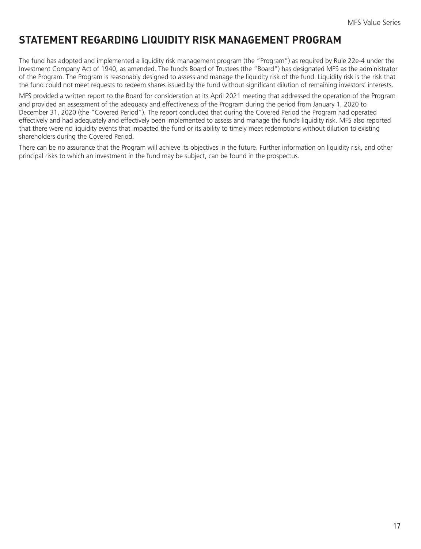# <span id="page-18-0"></span>**STATEMENT REGARDING LIQUIDITY RISK MANAGEMENT PROGRAM**

The fund has adopted and implemented a liquidity risk management program (the "Program") as required by Rule 22e-4 under the Investment Company Act of 1940, as amended. The fund's Board of Trustees (the "Board") has designated MFS as the administrator of the Program. The Program is reasonably designed to assess and manage the liquidity risk of the fund. Liquidity risk is the risk that the fund could not meet requests to redeem shares issued by the fund without significant dilution of remaining investors' interests.

MFS provided a written report to the Board for consideration at its April 2021 meeting that addressed the operation of the Program and provided an assessment of the adequacy and effectiveness of the Program during the period from January 1, 2020 to December 31, 2020 (the "Covered Period"). The report concluded that during the Covered Period the Program had operated effectively and had adequately and effectively been implemented to assess and manage the fund's liquidity risk. MFS also reported that there were no liquidity events that impacted the fund or its ability to timely meet redemptions without dilution to existing shareholders during the Covered Period.

There can be no assurance that the Program will achieve its objectives in the future. Further information on liquidity risk, and other principal risks to which an investment in the fund may be subject, can be found in the prospectus.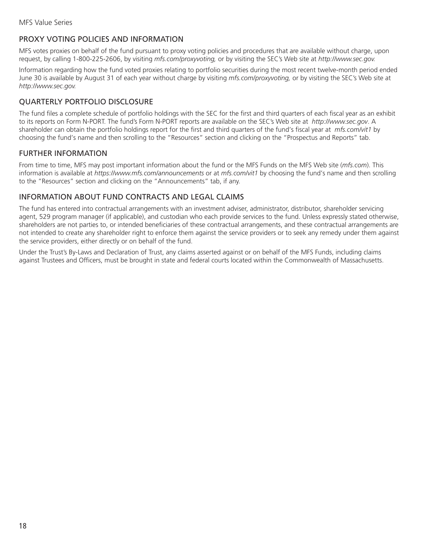# <span id="page-19-0"></span>PROXY VOTING POLICIES AND INFORMATION

MFS votes proxies on behalf of the fund pursuant to proxy voting policies and procedures that are available without charge, upon request, by calling 1-800-225-2606, by visiting *mfs.com/proxyvoting,* or by visiting the SEC's Web site at *http://www.sec.gov.*

Information regarding how the fund voted proxies relating to portfolio securities during the most recent twelve-month period ended June 30 is available by August 31 of each year without charge by visiting *mfs.com/proxyvoting,* or by visiting the SEC's Web site at *http://www.sec.gov.*

# QUARTERLY PORTFOLIO DISCLOSURE

The fund files a complete schedule of portfolio holdings with the SEC for the first and third quarters of each fiscal year as an exhibit to its reports on Form N-PORT. The fund's Form N-PORT reports are available on the SEC's Web site at *http://www.sec.gov*. A shareholder can obtain the portfolio holdings report for the first and third quarters of the fund's fiscal year at *mfs.com/vit1* by choosing the fund's name and then scrolling to the "Resources" section and clicking on the "Prospectus and Reports" tab.

## FURTHER INFORMATION

From time to time, MFS may post important information about the fund or the MFS Funds on the MFS Web site (*mfs.com*). This information is available at *https://www.mfs.com/announcements* or at *mfs.com/vit1* by choosing the fund's name and then scrolling to the "Resources" section and clicking on the "Announcements" tab, if any.

## INFORMATION ABOUT FUND CONTRACTS AND LEGAL CLAIMS

The fund has entered into contractual arrangements with an investment adviser, administrator, distributor, shareholder servicing agent, 529 program manager (if applicable), and custodian who each provide services to the fund. Unless expressly stated otherwise, shareholders are not parties to, or intended beneficiaries of these contractual arrangements, and these contractual arrangements are not intended to create any shareholder right to enforce them against the service providers or to seek any remedy under them against the service providers, either directly or on behalf of the fund.

Under the Trust's By-Laws and Declaration of Trust, any claims asserted against or on behalf of the MFS Funds, including claims against Trustees and Officers, must be brought in state and federal courts located within the Commonwealth of Massachusetts.